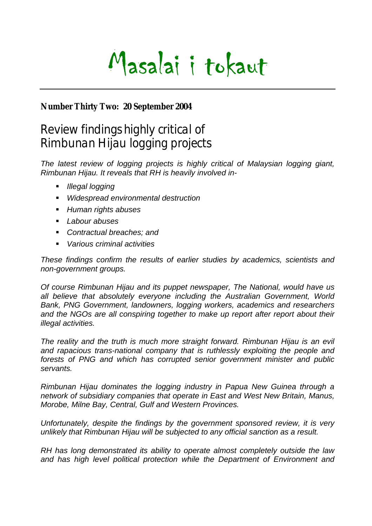

## **Number Thirty Two: 20 September 2004**

# Review findings highly critical of Rimbunan Hijau logging projects

*The latest review of logging projects is highly critical of Malaysian logging giant, Rimbunan Hijau. It reveals that RH is heavily involved in-* 

- *Illegal logging*
- *Widespread environmental destruction*
- *Human rights abuses*
- *Labour abuses*
- *Contractual breaches; and*
- *Various criminal activities*

*These findings confirm the results of earlier studies by academics, scientists and non-government groups.* 

*Of course Rimbunan Hijau and its puppet newspaper, The National, would have us*  all believe that absolutely everyone including the Australian Government, World *Bank, PNG Government, landowners, logging workers, academics and researchers*  and the NGOs are all conspiring together to make up report after report about their *illegal activities.* 

*The reality and the truth is much more straight forward. Rimbunan Hijau is an evil and rapacious trans-national company that is ruthlessly exploiting the people and forests of PNG and which has corrupted senior government minister and public servants.* 

*Rimbunan Hijau dominates the logging industry in Papua New Guinea through a network of subsidiary companies that operate in East and West New Britain, Manus, Morobe, Milne Bay, Central, Gulf and Western Provinces.* 

*Unfortunately, despite the findings by the government sponsored review, it is very unlikely that Rimbunan Hijau will be subjected to any official sanction as a result.* 

*RH has long demonstrated its ability to operate almost completely outside the law and has high level political protection while the Department of Environment and*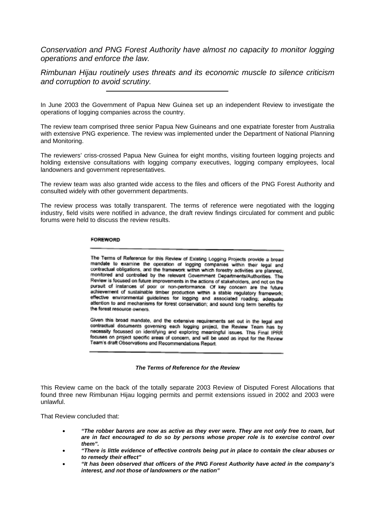*Conservation and PNG Forest Authority have almost no capacity to monitor logging operations and enforce the law.* 

*Rimbunan Hijau routinely uses threats and its economic muscle to silence criticism and corruption to avoid scrutiny.* 

In June 2003 the Government of Papua New Guinea set up an independent Review to investigate the operations of logging companies across the country.

The review team comprised three senior Papua New Guineans and one expatriate forester from Australia with extensive PNG experience. The review was implemented under the Department of National Planning and Monitoring.

The reviewers' criss-crossed Papua New Guinea for eight months, visiting fourteen logging projects and holding extensive consultations with logging company executives, logging company employees, local landowners and government representatives.

The review team was also granted wide access to the files and officers of the PNG Forest Authority and consulted widely with other government departments.

The review process was totally transparent. The terms of reference were negotiated with the logging industry, field visits were notified in advance, the draft review findings circulated for comment and public forums were held to discuss the review results.

#### **FOREWORD**

The Terms of Reference for this Review of Existing Logging Projects provide a broad mandate to examine the operation of logging companies within their legal and contractual obligations, and the framework within which forestry activities are planned. monitored and controlled by the relevant Government Departments/Authorities. The Review is focused on future improvements in the actions of stakeholders, and not on the pursuit of instances of poor or non-performance. Of key concern are the future achievement of sustainable timber production within a stable regulatory framework; effective environmental guidelines for logging and associated roading; adequate attention to and mechanisms for forest conservation; and sound long term benefits for the forest resource owners.

Given this broad mandate, and the extensive requirements set out in the legal and contractual documents governing each logging project, the Review Team has by necessity focussed on identifying and exploring meaningful issues. This Final IPRR focuses on project specific areas of concern, and will be used as input for the Review Team's draft Observations and Recommendations Report.

#### *The Terms of Reference for the Review*

This Review came on the back of the totally separate 2003 Review of Disputed Forest Allocations that found three new Rimbunan Hijau logging permits and permit extensions issued in 2002 and 2003 were unlawful.

That Review concluded that:

- *"The robber barons are now as active as they ever were. They are not only free to roam, but are in fact encouraged to do so by persons whose proper role is to exercise control over them".*
- *"There is little evidence of effective controls being put in place to contain the clear abuses or to remedy their effect"*
- *"It has been observed that officers of the PNG Forest Authority have acted in the company's interest, and not those of landowners or the nation"*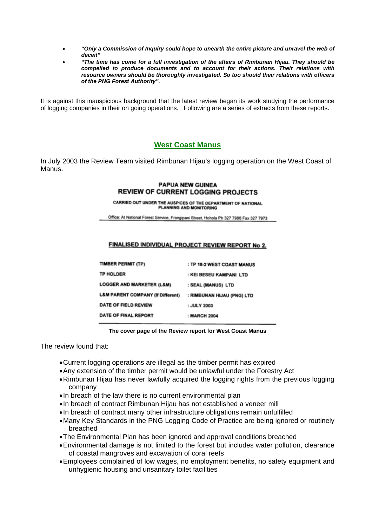- *"Only a Commission of Inquiry could hope to unearth the entire picture and unravel the web of deceit"*
- *"The time has come for a full investigation of the affairs of Rimbunan Hijau. They should be compelled to produce documents and to account for their actions. Their relations with resource owners should be thoroughly investigated. So too should their relations with officers of the PNG Forest Authority".*

It is against this inauspicious background that the latest review began its work studying the performance of logging companies in their on going operations. Following are a series of extracts from these reports.

### **West Coast Manus**

In July 2003 the Review Team visited Rimbunan Hijau's logging operation on the West Coast of Manus.

#### **PAPUA NEW GUINEA REVIEW OF CURRENT LOGGING PROJECTS**

CARRIED OUT UNDER THE AUSPICES OF THE DEPARTMENT OF NATIONAL PLANNING AND MONITORING

Office: At National Forest Service, Frangipani Street, Hohola Ph 327 7980 Fax 327 7973

#### FINALISED INDIVIDUAL PROJECT REVIEW REPORT No 2.

| <b>TIMBER PERMIT (TP)</b>                    | : TP 18-2 WEST COAST MANUS |
|----------------------------------------------|----------------------------|
| <b>TP HOLDER</b>                             | : KEI BESEU KAMPANI LTD    |
| <b>LOGGER AND MARKETER (L&amp;M)</b>         | : SEAL (MANUS) LTD         |
| <b>L&amp;M PARENT COMPANY (If Different)</b> | : RIMBUNAN HIJAU (PNG) LTD |
| DATE OF FIELD REVIEW                         | : JULY 2003                |
| DATE OF FINAL REPORT                         | : MARCH 2004               |
|                                              |                            |

**The cover page of the Review report for West Coast Manus** 

The review found that:

- Current logging operations are illegal as the timber permit has expired
- Any extension of the timber permit would be unlawful under the Forestry Act
- Rimbunan Hijau has never lawfully acquired the logging rights from the previous logging company
- In breach of the law there is no current environmental plan
- In breach of contract Rimbunan Hijau has not established a veneer mill
- In breach of contract many other infrastructure obligations remain unfulfilled
- Many Key Standards in the PNG Logging Code of Practice are being ignored or routinely breached
- The Environmental Plan has been ignored and approval conditions breached
- Environmental damage is not limited to the forest but includes water pollution, clearance of coastal mangroves and excavation of coral reefs
- Employees complained of low wages, no employment benefits, no safety equipment and unhygienic housing and unsanitary toilet facilities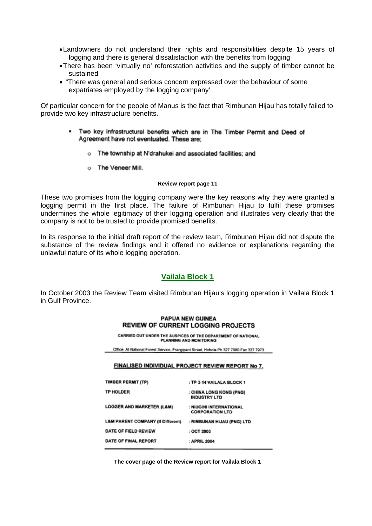- Landowners do not understand their rights and responsibilities despite 15 years of logging and there is general dissatisfaction with the benefits from logging
- There has been 'virtually no' reforestation activities and the supply of timber cannot be sustained
- "There was general and serious concern expressed over the behaviour of some expatriates employed by the logging company'

Of particular concern for the people of Manus is the fact that Rimbunan Hijau has totally failed to provide two key infrastructure benefits.

- \* Two key infrastructural benefits which are in The Timber Permit and Deed of Agreement have not eventuated. These are:
	- o The township at N'drahukei and associated facilities; and
	- o The Veneer Mill.

#### **Review report page 11**

These two promises from the logging company were the key reasons why they were granted a logging permit in the first place. The failure of Rimbunan Hijau to fulfil these promises undermines the whole legitimacy of their logging operation and illustrates very clearly that the company is not to be trusted to provide promised benefits.

In its response to the initial draft report of the review team, Rimbunan Hijau did not dispute the substance of the review findings and it offered no evidence or explanations regarding the unlawful nature of its whole logging operation.

## **Vailala Block 1**

In October 2003 the Review Team visited Rimbunan Hijau's logging operation in Vailala Block 1 in Gulf Province.

#### **PAPUA NEW GUINEA REVIEW OF CURRENT LOGGING PROJECTS**

CARRIED OUT UNDER THE AUSPICES OF THE DEPARTMENT OF NATIONAL PLANNING AND MONITORING

Office: At National Forest Service, Frangipani Street, Hohola Ph 327 7980 Fax 327 7973

#### FINALISED INDIVIDUAL PROJECT REVIEW REPORT No 7.

| TIMBER PERMIT (TP)                           | : TP 2-14 VAILALA BLOCK 1                         |
|----------------------------------------------|---------------------------------------------------|
| <b>TP HOLDER</b>                             | : CHINA LONG KONG (PNG)<br><b>INDUSTRY LTD</b>    |
| <b>LOGGER AND MARKETER (L&amp;M)</b>         | : NIUGINI INTERNATIONAL<br><b>CORPORATION LTD</b> |
| <b>L&amp;M PARENT COMPANY (If Different)</b> | : RIMBUNAN HIJAU (PNG) LTD                        |
| DATE OF FIELD REVIEW                         | : OCT 2003                                        |
| DATE OF FINAL REPORT                         | : APRIL 2004                                      |

**The cover page of the Review report for Vailala Block 1**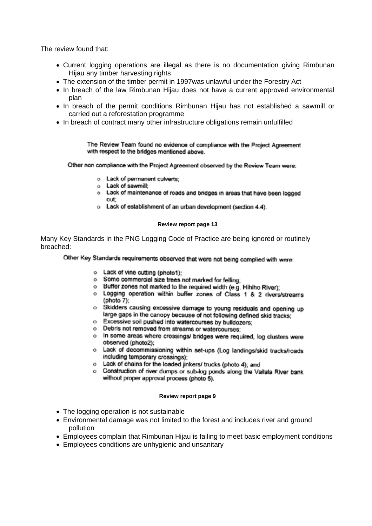The review found that:

- Current logging operations are illegal as there is no documentation giving Rimbunan Hijau any timber harvesting rights
- The extension of the timber permit in 1997was unlawful under the Forestry Act
- In breach of the law Rimbunan Hijau does not have a current approved environmental plan
- In breach of the permit conditions Rimbunan Hijau has not established a sawmill or carried out a reforestation programme
- In breach of contract many other infrastructure obligations remain unfulfilled

The Review Team found no evidence of compliance with the Project Agreement with respect to the bridges mentioned above.

Other non compliance with the Project Agreement observed by the Review Team were:

- o Lack of permanent culverts:
- o Lack of sawmill:
- o Lack of maintenance of roads and bridges in areas that have been logged out<sup>-</sup>
- o Lack of establishment of an urban development (section 4.4).

#### **Review report page 13**

Many Key Standards in the PNG Logging Code of Practice are being ignored or routinely breached:

Other Key Standards requirements observed that were not being complied with were:

- o Lack of vine cutting (photo1):
- o Some commercial size trees not marked for felling:
- o Buffer zones not marked to the required width (e.g. Hihiho River);
- o Logging operation within buffer zones of Class 1 & 2 rivers/streams (photo 7):
- o Skidders causing excessive damage to young residuals and opening up large gaps in the canopy because of not following defined skid tracks;
- o Excessive soil pushed into watercourses by bulldozers:
- o Debris not removed from streams or watercourses;
- o In some areas where crossings/ bridges were required, log clusters were observed (photo2);
- o Lack of decommissioning within set-ups (Log landings/skid tracks/roads including temporary crossings):
- o Lack of chains for the loaded jinkers/ trucks (photo 4); and
- o Construction of river dumps or sub-log ponds along the Vailala River bank without proper approval process (photo 5).

#### **Review report page 9**

- The logging operation is not sustainable
- Environmental damage was not limited to the forest and includes river and ground pollution
- Employees complain that Rimbunan Hijau is failing to meet basic employment conditions
- Employees conditions are unhygienic and unsanitary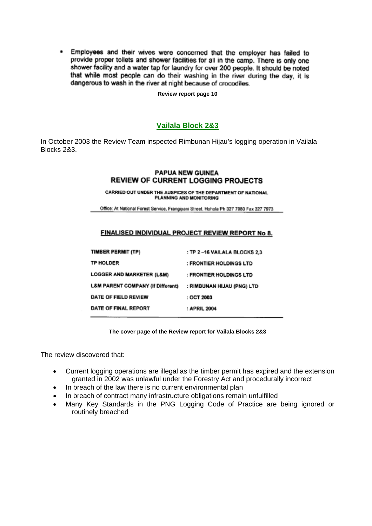Employees and their wives were concerned that the employer has failed to  $\cdot$ provide proper toilets and shower facilities for all in the camp. There is only one shower facility and a water tap for laundry for over 200 people. It should be noted that while most people can do their washing in the river during the day, it is dangerous to wash in the river at night because of crocodiles.

**Review report page 10** 

## **Vailala Block 2&3**

In October 2003 the Review Team inspected Rimbunan Hijau's logging operation in Vailala Blocks 2&3.

#### **PAPUA NEW GUINEA REVIEW OF CURRENT LOGGING PROJECTS**

CARRIED OUT UNDER THE AUSPICES OF THE DEPARTMENT OF NATIONAL PLANNING AND MONITORING

Office: At National Forest Service, Frangipani Street, Hohola Ph 327 7980 Fax 327 7973

#### FINALISED INDIVIDUAL PROJECT REVIEW REPORT No 8.

| <b>TIMBER PERMIT (TP)</b>                    | : TP 2-16 VAILALA BLOCKS 2.3 |
|----------------------------------------------|------------------------------|
| <b>TP HOLDER</b>                             | : FRONTIER HOLDINGS LTD      |
| <b>LOGGER AND MARKETER (L&amp;M)</b>         | : FRONTIER HOLDINGS LTD      |
| <b>L&amp;M PARENT COMPANY (If Different)</b> | : RIMBUNAN HIJAU (PNG) LTD   |
| DATE OF FIELD REVIEW                         | : OCT 2003                   |
| DATE OF FINAL REPORT                         | : APRIL 2004                 |
|                                              |                              |

**The cover page of the Review report for Vailala Blocks 2&3** 

The review discovered that:

- Current logging operations are illegal as the timber permit has expired and the extension granted in 2002 was unlawful under the Forestry Act and procedurally incorrect
- In breach of the law there is no current environmental plan
- In breach of contract many infrastructure obligations remain unfulfilled
- Many Key Standards in the PNG Logging Code of Practice are being ignored or routinely breached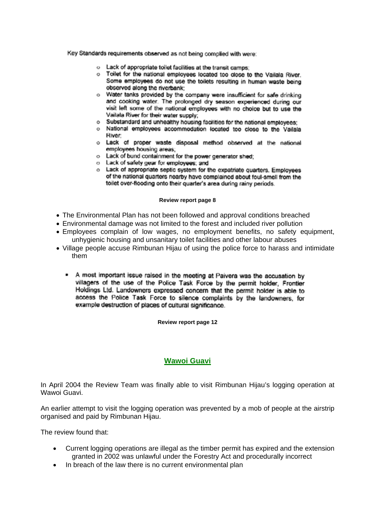Key Standards requirements observed as not being complied with were:

- o Lack of appropriate toilet facilities at the transit camps:
- o Toilet for the national employees located too close to the Vailala River. Some employees do not use the toilets resulting in human waste being observed along the riverbank:
- o Water tanks provided by the company were insufficient for safe drinking and cooking water. The prolonged dry season experienced during our visit left some of the national employees with no choice but to use the Vailala River for their water supply:
- o Substandard and unhealthy housing facilities for the national employees:
- o National employees accommodation located too close to the Vailala **River**
- o Lack of proper waste disposal method observed at the national employees housing areas:
- o Lack of bund containment for the power generator shed;
- o Lack of safety gear for employees; and
- o Lack of appropriate septic system for the expatriate quarters. Employees of the national quarters nearby have complained about foul-smell from the toilet over-flooding onto their quarter's area during rainy periods.

#### **Review report page 8**

- The Environmental Plan has not been followed and approval conditions breached
- Environmental damage was not limited to the forest and included river pollution
- Employees complain of low wages, no employment benefits, no safety equipment, unhygienic housing and unsanitary toilet facilities and other labour abuses
- Village people accuse Rimbunan Hijau of using the police force to harass and intimidate them
	- A most important issue raised in the meeting at Paivera was the accusation by villagers of the use of the Police Task Force by the permit holder, Frontier Holdings Ltd. Landowners expressed concern that the permit holder is able to access the Police Task Force to silence complaints by the landowners, for example destruction of places of cultural significance.

**Review report page 12** 

## **Wawoi Guavi**

In April 2004 the Review Team was finally able to visit Rimbunan Hijau's logging operation at Wawoi Guavi.

An earlier attempt to visit the logging operation was prevented by a mob of people at the airstrip organised and paid by Rimbunan Hijau.

The review found that:

- Current logging operations are illegal as the timber permit has expired and the extension granted in 2002 was unlawful under the Forestry Act and procedurally incorrect
- In breach of the law there is no current environmental plan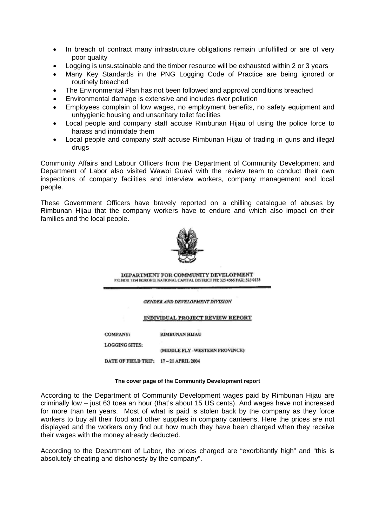- In breach of contract many infrastructure obligations remain unfulfilled or are of very poor quality
- Logging is unsustainable and the timber resource will be exhausted within 2 or 3 years
- Many Key Standards in the PNG Logging Code of Practice are being ignored or routinely breached
- The Environmental Plan has not been followed and approval conditions breached
- Environmental damage is extensive and includes river pollution
- Employees complain of low wages, no employment benefits, no safety equipment and unhygienic housing and unsanitary toilet facilities
- Local people and company staff accuse Rimbunan Hijau of using the police force to harass and intimidate them
- Local people and company staff accuse Rimbunan Hijau of trading in guns and illegal drugs

Community Affairs and Labour Officers from the Department of Community Development and Department of Labor also visited Wawoi Guavi with the review team to conduct their own inspections of company facilities and interview workers, company management and local people.

These Government Officers have bravely reported on a chilling catalogue of abuses by Rimbunan Hijau that the company workers have to endure and which also impact on their families and the local people.



DEPARTMENT FOR COMMUNITY DEVELOPMENT P.O. BOX 7354 BOROKO, NATIONAL CAPITAL DISTRICT PH: 325 4566 FAX: 325 0133

GENDER AND DEVELOPMENT DIVISION

#### INDIVIDUAL PROJECT REVIEW REPORT

**COMPANY:** RIMBUNAN HIJAU

LOGGING SITES:

(MIDDLE FLY -WESTERN PROVINCE)

DATE OF FIELD TRIP: 17-21 APRIL 2004

#### **The cover page of the Community Development report**

According to the Department of Community Development wages paid by Rimbunan Hijau are criminally low – just 63 toea an hour (that's about 15 US cents). And wages have not increased for more than ten years. Most of what is paid is stolen back by the company as they force workers to buy all their food and other supplies in company canteens. Here the prices are not displayed and the workers only find out how much they have been charged when they receive their wages with the money already deducted.

According to the Department of Labor, the prices charged are "exorbitantly high" and "this is absolutely cheating and dishonesty by the company".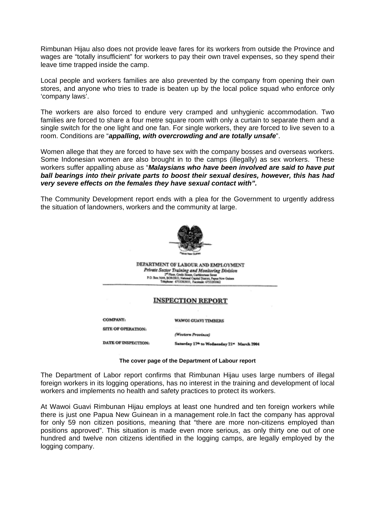Rimbunan Hijau also does not provide leave fares for its workers from outside the Province and wages are "totally insufficient" for workers to pay their own travel expenses, so they spend their leave time trapped inside the camp.

Local people and workers families are also prevented by the company from opening their own stores, and anyone who tries to trade is beaten up by the local police squad who enforce only 'company laws'.

The workers are also forced to endure very cramped and unhygienic accommodation. Two families are forced to share a four metre square room with only a curtain to separate them and a single switch for the one light and one fan. For single workers, they are forced to live seven to a room. Conditions are "*appalling, with overcrowding and are totally unsafe*".

Women allege that they are forced to have sex with the company bosses and overseas workers. Some Indonesian women are also brought in to the camps (illegally) as sex workers. These workers suffer appalling abuse as "*Malaysians who have been involved are said to have put ball bearings into their private parts to boost their sexual desires, however, this has had very severe effects on the females they have sexual contact with".*

The Community Development report ends with a plea for the Government to urgently address the situation of landowners, workers and the community at large.



DEPARTMENT OF LABOUR AND EMPLOYMENT **Private Second Training and Monitoring Division<br>Private Second Training and Monitoring Division<br>20. Box 1604, BOROGO, National Capablents Sent<br>Training COMMON, Taxistic 473126002<br>Training 473126003, Taxistic 473126002** 

#### **INSPECTION REPORT**

(Western Province)

COMPANY.

WAWOI GUAVI TIMBERS

**SITE OF OPERATION:** 

DATE OF INSPECTION:

Saturday 17th to Wednesday 21" March 2004

**The cover page of the Department of Labour report** 

The Department of Labor report confirms that Rimbunan Hijau uses large numbers of illegal foreign workers in its logging operations, has no interest in the training and development of local workers and implements no health and safety practices to protect its workers.

At Wawoi Guavi Rimbunan Hijau employs at least one hundred and ten foreign workers while there is just one Papua New Guinean in a management role.In fact the company has approval for only 59 non citizen positions, meaning that "there are more non-citizens employed than positions approved". This situation is made even more serious, as only thirty one out of one hundred and twelve non citizens identified in the logging camps, are legally employed by the logging company.